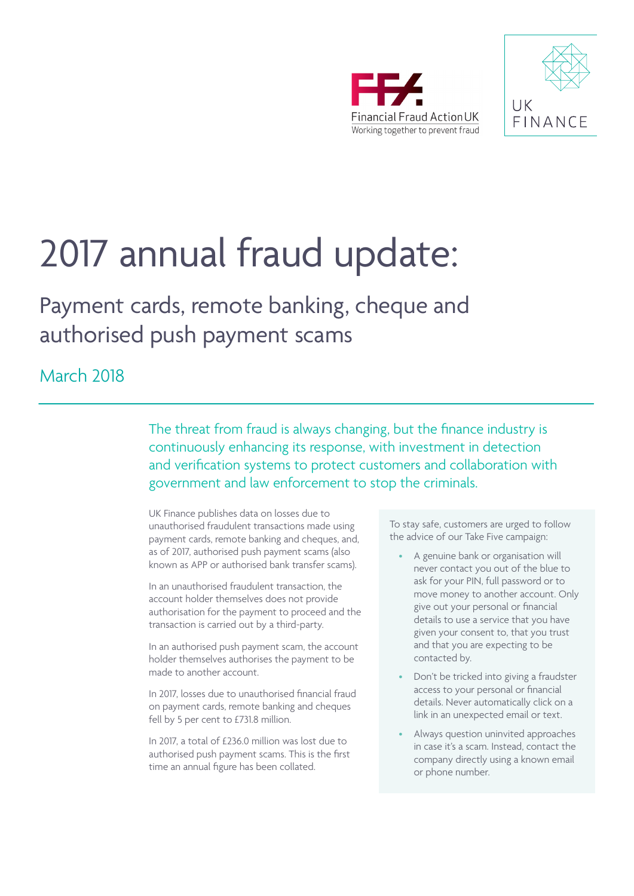



# 2017 annual fraud update:

Payment cards, remote banking, cheque and authorised push payment scams

March 2018

The threat from fraud is always changing, but the finance industry is continuously enhancing its response, with investment in detection and verification systems to protect customers and collaboration with government and law enforcement to stop the criminals.

UK Finance publishes data on losses due to unauthorised fraudulent transactions made using payment cards, remote banking and cheques, and, as of 2017, authorised push payment scams (also known as APP or authorised bank transfer scams).

In an unauthorised fraudulent transaction, the account holder themselves does not provide authorisation for the payment to proceed and the transaction is carried out by a third-party.

In an authorised push payment scam, the account holder themselves authorises the payment to be made to another account.

In 2017, losses due to unauthorised financial fraud on payment cards, remote banking and cheques fell by 5 per cent to £731.8 million.

In 2017, a total of £236.0 million was lost due to authorised push payment scams. This is the first time an annual figure has been collated.

To stay safe, customers are urged to follow the advice of our Take Five campaign:

- A genuine bank or organisation will never contact you out of the blue to ask for your PIN, full password or to move money to another account. Only give out your personal or financial details to use a service that you have given your consent to, that you trust and that you are expecting to be contacted by.
- Don't be tricked into giving a fraudster access to your personal or financial details. Never automatically click on a link in an unexpected email or text.
- Always question uninvited approaches in case it's a scam. Instead, contact the company directly using a known email or phone number.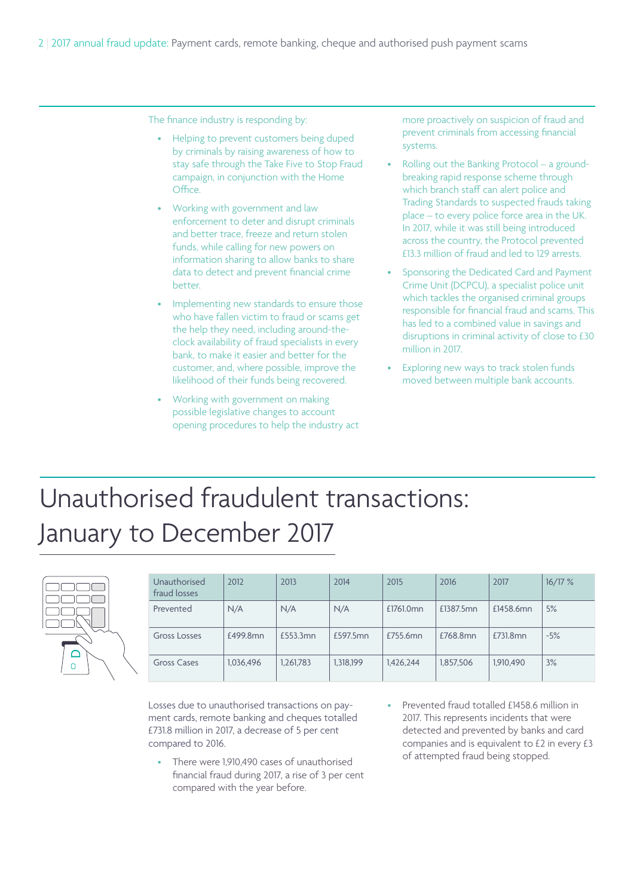The finance industry is responding by:

- Helping to prevent customers being duped by criminals by raising awareness of how to stay safe through the Take Five to Stop Fraud campaign, in conjunction with the Home Office.
- Working with government and law enforcement to deter and disrupt criminals and better trace, freeze and return stolen funds, while calling for new powers on information sharing to allow banks to share data to detect and prevent financial crime better.
- Implementing new standards to ensure those who have fallen victim to fraud or scams get the help they need, including around-theclock availability of fraud specialists in every bank, to make it easier and better for the customer, and, where possible, improve the likelihood of their funds being recovered.
- Working with government on making possible legislative changes to account opening procedures to help the industry act

more proactively on suspicion of fraud and prevent criminals from accessing financial systems.

- Rolling out the Banking Protocol a groundbreaking rapid response scheme through which branch staff can alert police and Trading Standards to suspected frauds taking place – to every police force area in the UK. In 2017, while it was still being introduced across the country, the Protocol prevented £13.3 million of fraud and led to 129 arrests.
- Sponsoring the Dedicated Card and Payment Crime Unit (DCPCU), a specialist police unit which tackles the organised criminal groups responsible for financial fraud and scams. This has led to a combined value in savings and disruptions in criminal activity of close to £30 million in 2017.
- Exploring new ways to track stolen funds moved between multiple bank accounts.

# Unauthorised fraudulent transactions: January to December 2017



| Unauthorised<br>fraud losses | 2012      | 2013      | 2014      | 2015      | 2016      | 2017      | 16/17% |
|------------------------------|-----------|-----------|-----------|-----------|-----------|-----------|--------|
| Prevented                    | N/A       | N/A       | N/A       | £1761.0mn | £1387.5mn | £1458.6mn | 5%     |
| Gross Losses                 | £499.8mn  | £553.3mn  | £597.5mn  | £755.6mn  | £768.8mn  | £731.8mn  | $-5%$  |
| Gross Cases                  | 1,036,496 | 1,261,783 | 1,318,199 | 1,426,244 | 1,857,506 | 1,910,490 | 3%     |

Losses due to unauthorised transactions on payment cards, remote banking and cheques totalled £731.8 million in 2017, a decrease of 5 per cent compared to 2016.

- There were 1,910,490 cases of unauthorised financial fraud during 2017, a rise of 3 per cent compared with the year before.
- Prevented fraud totalled £1458.6 million in 2017. This represents incidents that were detected and prevented by banks and card companies and is equivalent to £2 in every £3 of attempted fraud being stopped.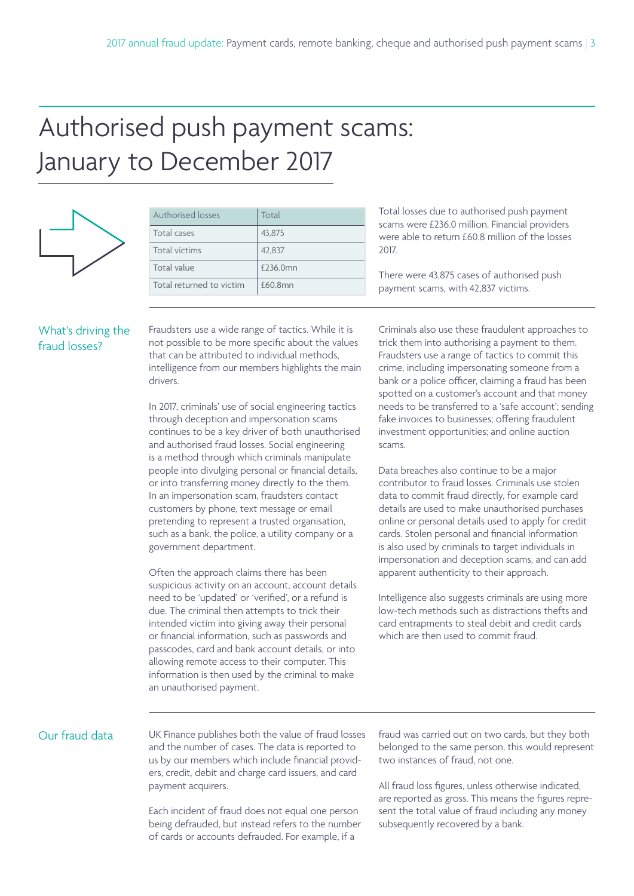# Authorised push payment scams: January to December 2017



| Authorised losses        | Total    |
|--------------------------|----------|
| Total cases              | 43,875   |
| Total victims            | 42,837   |
| Total value              | £236.0mn |
| Total returned to victim | f60.8mn  |

Total losses due to authorised push payment scams were £236.0 million. Financial providers were able to return £60.8 million of the losses 2017.

There were 43,875 cases of authorised push payment scams, with 42,837 victims.

### What's driving the fraud losses?

Fraudsters use a wide range of tactics. While it is not possible to be more specific about the values that can be attributed to individual methods, intelligence from our members highlights the main drivers.

In 2017, criminals' use of social engineering tactics through deception and impersonation scams continues to be a key driver of both unauthorised and authorised fraud losses. Social engineering is a method through which criminals manipulate people into divulging personal or financial details, or into transferring money directly to the them. In an impersonation scam, fraudsters contact customers by phone, text message or email pretending to represent a trusted organisation, such as a bank, the police, a utility company or a government department.

Often the approach claims there has been suspicious activity on an account, account details need to be 'updated' or 'verified', or a refund is due. The criminal then attempts to trick their intended victim into giving away their personal or financial information, such as passwords and passcodes, card and bank account details, or into allowing remote access to their computer. This information is then used by the criminal to make an unauthorised payment.

Criminals also use these fraudulent approaches to trick them into authorising a payment to them. Fraudsters use a range of tactics to commit this crime, including impersonating someone from a bank or a police officer, claiming a fraud has been spotted on a customer's account and that money needs to be transferred to a 'safe account'; sending fake invoices to businesses; offering fraudulent investment opportunities; and online auction scams.

Data breaches also continue to be a major contributor to fraud losses. Criminals use stolen data to commit fraud directly, for example card details are used to make unauthorised purchases online or personal details used to apply for credit cards. Stolen personal and financial information is also used by criminals to target individuals in impersonation and deception scams, and can add apparent authenticity to their approach.

Intelligence also suggests criminals are using more low-tech methods such as distractions thefts and card entrapments to steal debit and credit cards which are then used to commit fraud.

### Our fraud data

UK Finance publishes both the value of fraud losses and the number of cases. The data is reported to us by our members which include financial providers, credit, debit and charge card issuers, and card payment acquirers.

Each incident of fraud does not equal one person being defrauded, but instead refers to the number of cards or accounts defrauded. For example, if a

fraud was carried out on two cards, but they both belonged to the same person, this would represent two instances of fraud, not one.

All fraud loss figures, unless otherwise indicated, are reported as gross. This means the figures represent the total value of fraud including any money subsequently recovered by a bank.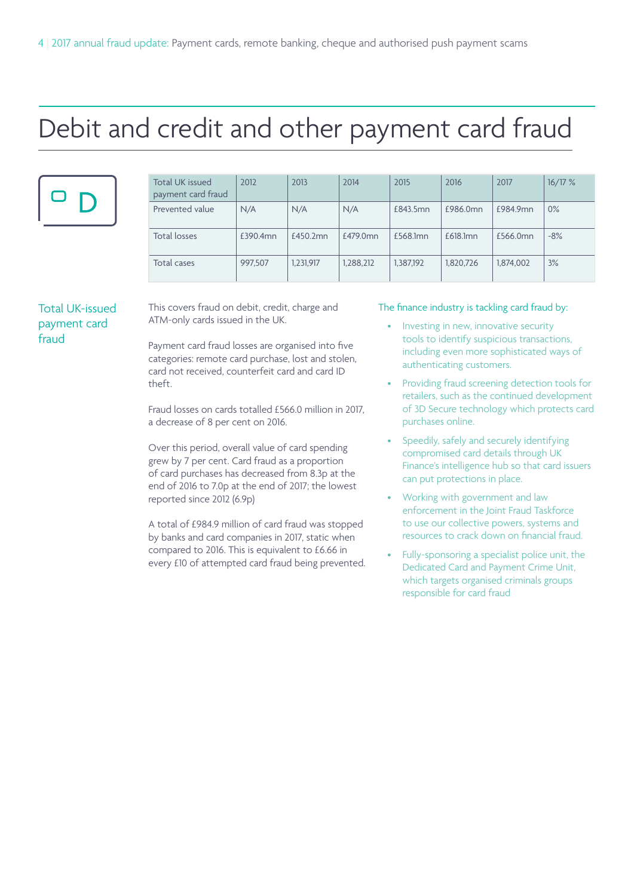# Debit and credit and other payment card fraud

|--|

| Total UK issued<br>payment card fraud | 2012     | 2013      | 2014      | 2015      | 2016      | 2017      | 16/17% |
|---------------------------------------|----------|-----------|-----------|-----------|-----------|-----------|--------|
| Prevented value                       | N/A      | N/A       | N/A       | £843.5mn  | £986.0mn  | £984.9mn  | $0\%$  |
| <b>Total losses</b>                   | £390.4mn | £450.2mn  | £479.0mn  | £568.1mn  | £618.1mn  | £566.0mn  | $-8%$  |
| Total cases                           | 997,507  | 1,231,917 | 1,288,212 | 1,387,192 | 1,820,726 | 1,874,002 | 3%     |

### Total UK-issued payment card fraud

This covers fraud on debit, credit, charge and ATM-only cards issued in the UK.

Payment card fraud losses are organised into five categories: remote card purchase, lost and stolen, card not received, counterfeit card and card ID theft.

Fraud losses on cards totalled £566.0 million in 2017, a decrease of 8 per cent on 2016.

Over this period, overall value of card spending grew by 7 per cent. Card fraud as a proportion of card purchases has decreased from 8.3p at the end of 2016 to 7.0p at the end of 2017; the lowest reported since 2012 (6.9p)

A total of £984.9 million of card fraud was stopped by banks and card companies in 2017, static when compared to 2016. This is equivalent to £6.66 in every £10 of attempted card fraud being prevented.

### The finance industry is tackling card fraud by:

- Investing in new, innovative security tools to identify suspicious transactions, including even more sophisticated ways of authenticating customers.
- Providing fraud screening detection tools for retailers, such as the continued development of 3D Secure technology which protects card purchases online.
- Speedily, safely and securely identifying compromised card details through UK Finance's intelligence hub so that card issuers can put protections in place.
- Working with government and law enforcement in the Joint Fraud Taskforce to use our collective powers, systems and resources to crack down on financial fraud.
- Fully-sponsoring a specialist police unit, the Dedicated Card and Payment Crime Unit, which targets organised criminals groups responsible for card fraud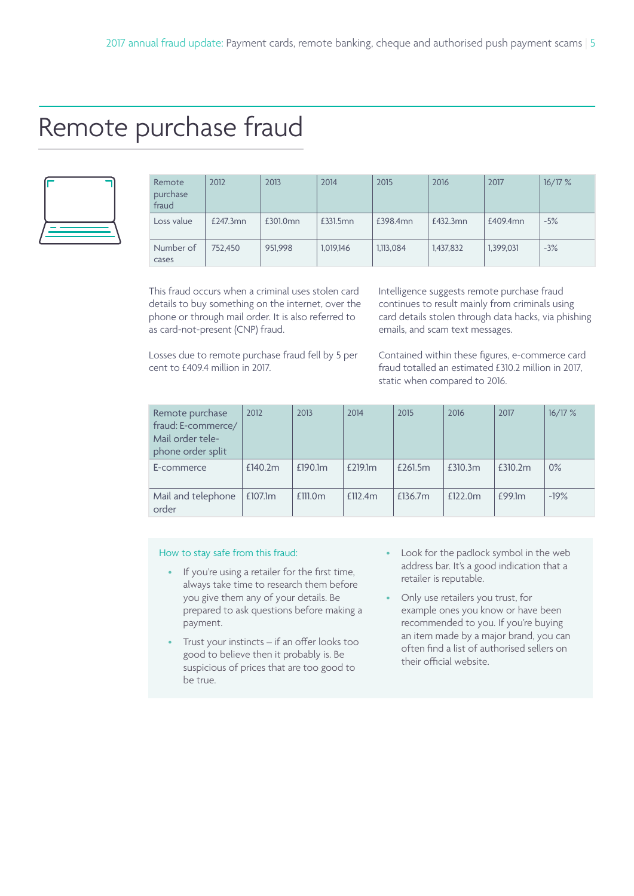### Remote purchase fraud



| Remote<br>purchase<br>fraud | 2012     | 2013     | 2014      | 2015      | 2016      | 2017      | 16/17% |
|-----------------------------|----------|----------|-----------|-----------|-----------|-----------|--------|
| Loss value                  | £247.3mn | £301.0mn | £331.5mn  | £398.4mn  | £432.3mn  | £409.4mn  | $-5%$  |
| Number of<br>cases          | 752,450  | 951,998  | 1,019,146 | 1.113.084 | 1,437,832 | 1.399.031 | $-3%$  |

This fraud occurs when a criminal uses stolen card details to buy something on the internet, over the phone or through mail order. It is also referred to as card-not-present (CNP) fraud.

Losses due to remote purchase fraud fell by 5 per cent to £409.4 million in 2017.

Intelligence suggests remote purchase fraud continues to result mainly from criminals using card details stolen through data hacks, via phishing emails, and scam text messages.

Contained within these figures, e-commerce card fraud totalled an estimated £310.2 million in 2017, static when compared to 2016.

| Remote purchase<br>fraud: E-commerce/<br>Mail order tele-<br>phone order split | 2012    | 2013    | 2014    | 2015    | 2016    | 2017    | 16/17% |
|--------------------------------------------------------------------------------|---------|---------|---------|---------|---------|---------|--------|
| E-commerce                                                                     | £140.2m | £190.1m | £219.1m | £261.5m | £310.3m | £310.2m | 0%     |
| Mail and telephone<br>order                                                    | £107.1m | £111.0m | £112.4m | £136.7m | £122.0m | £99.1m  | $-19%$ |

### How to stay safe from this fraud:

- If you're using a retailer for the first time, always take time to research them before you give them any of your details. Be prepared to ask questions before making a payment.
- Trust your instincts if an offer looks too good to believe then it probably is. Be suspicious of prices that are too good to be true.
- Look for the padlock symbol in the web address bar. It's a good indication that a retailer is reputable.
- Only use retailers you trust, for example ones you know or have been recommended to you. If you're buying an item made by a major brand, you can often find a list of authorised sellers on their official website.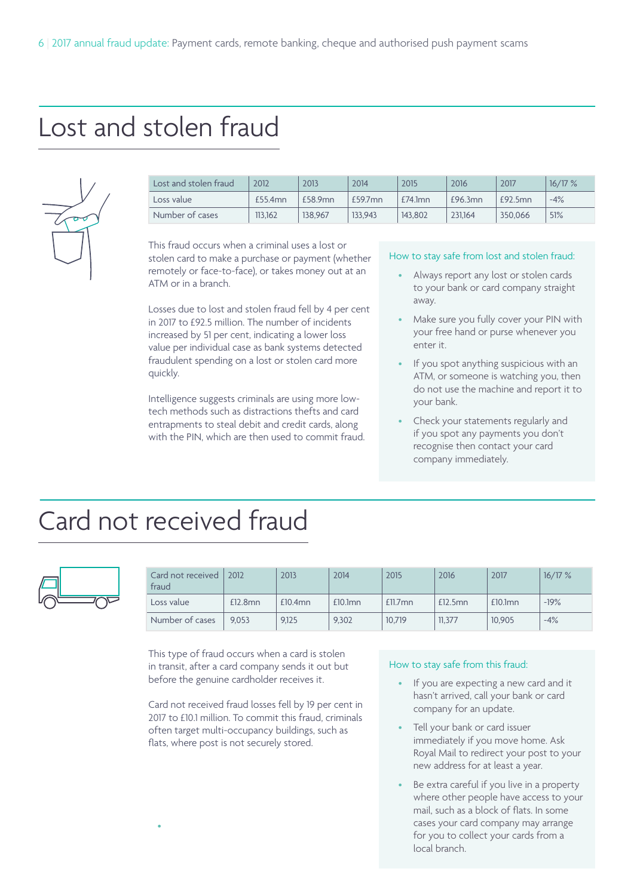# Lost and stolen fraud



| Lost and stolen fraud | 2012    | 2013    | 2014    | 2015       | 2016    | 2017    | 16/17% |
|-----------------------|---------|---------|---------|------------|---------|---------|--------|
| Loss value            | £55.4mn | £58.9mn | £59.7mn | $£74.1$ mn | £96.3mn | £92.5mn | $-4%$  |
| Number of cases       | 113.162 | 138,967 | 133.943 | 143,802    | 231,164 | 350.066 | 51%    |

This fraud occurs when a criminal uses a lost or stolen card to make a purchase or payment (whether remotely or face-to-face), or takes money out at an ATM or in a branch.

Losses due to lost and stolen fraud fell by 4 per cent in 2017 to £92.5 million. The number of incidents increased by 51 per cent, indicating a lower loss value per individual case as bank systems detected fraudulent spending on a lost or stolen card more quickly.

Intelligence suggests criminals are using more lowtech methods such as distractions thefts and card entrapments to steal debit and credit cards, along with the PIN, which are then used to commit fraud.

#### How to stay safe from lost and stolen fraud:

- Always report any lost or stolen cards to your bank or card company straight away.
- Make sure you fully cover your PIN with your free hand or purse whenever you enter it.
- If you spot anything suspicious with an ATM, or someone is watching you, then do not use the machine and report it to your bank.
- Check your statements regularly and if you spot any payments you don't recognise then contact your card company immediately.

# Card not received fraud

•



| Card not received<br>fraud | 2012    | 2013       | 2014       | 2015       | 2016    | 2017       | 16/17% |
|----------------------------|---------|------------|------------|------------|---------|------------|--------|
| Loss value                 | £12.8mn | $£10.4$ mn | $£10.1$ mn | $£11.7$ mn | £12.5mn | $£10.1$ mn | $-19%$ |
| Number of cases            | 9.053   | 9.125      | 9.302      | 10.719     | 11.377  | 10.905     | $-4%$  |

This type of fraud occurs when a card is stolen in transit, after a card company sends it out but before the genuine cardholder receives it.

Card not received fraud losses fell by 19 per cent in 2017 to £10.1 million. To commit this fraud, criminals often target multi-occupancy buildings, such as flats, where post is not securely stored.

### How to stay safe from this fraud:

- If you are expecting a new card and it hasn't arrived, call your bank or card company for an update.
- Tell your bank or card issuer immediately if you move home. Ask Royal Mail to redirect your post to your new address for at least a year.
- Be extra careful if you live in a property where other people have access to your mail, such as a block of flats. In some cases your card company may arrange for you to collect your cards from a local branch.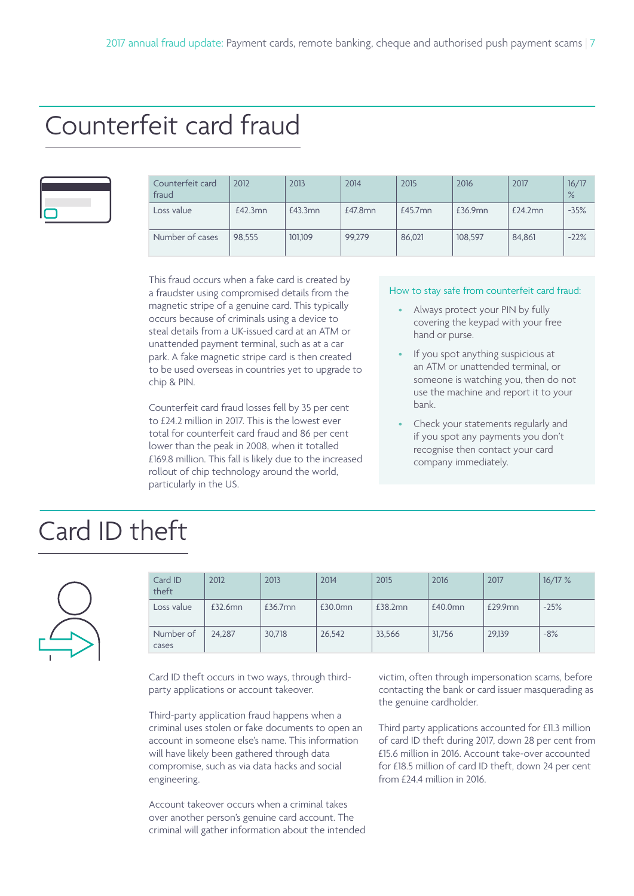### Counterfeit card fraud

| Counterfeit card<br>fraud | 2012    | 2013    | 2014    | 2015       | 2016    | 2017    | 16/17<br>$\frac{9}{6}$ |
|---------------------------|---------|---------|---------|------------|---------|---------|------------------------|
| Loss value                | £42.3mn | £43.3mn | £47.8mn | $£45.7$ mn | £36.9mn | £24.2mn | $-35%$                 |
| Number of cases           | 98.555  | 101.109 | 99.279  | 86.021     | 108,597 | 84.861  | $-22%$                 |

This fraud occurs when a fake card is created by a fraudster using compromised details from the magnetic stripe of a genuine card. This typically occurs because of criminals using a device to steal details from a UK-issued card at an ATM or unattended payment terminal, such as at a car park. A fake magnetic stripe card is then created to be used overseas in countries yet to upgrade to chip & PIN.

Counterfeit card fraud losses fell by 35 per cent to £24.2 million in 2017. This is the lowest ever total for counterfeit card fraud and 86 per cent lower than the peak in 2008, when it totalled £169.8 million. This fall is likely due to the increased rollout of chip technology around the world, particularly in the US.

#### How to stay safe from counterfeit card fraud:

- Always protect your PIN by fully covering the keypad with your free hand or purse.
- If you spot anything suspicious at an ATM or unattended terminal, or someone is watching you, then do not use the machine and report it to your bank.
- Check your statements regularly and if you spot any payments you don't recognise then contact your card company immediately.

## Card ID theft



| Card ID<br>theft   | 2012    | 2013    | 2014    | 2015    | 2016    | 2017    | 16/17% |
|--------------------|---------|---------|---------|---------|---------|---------|--------|
| Loss value         | £32.6mn | £36.7mn | £30.0mn | £38.2mn | £40.0mn | £29.9mn | $-25%$ |
| Number of<br>cases | 24.287  | 30,718  | 26.542  | 33,566  | 31.756  | 29,139  | $-8%$  |

Card ID theft occurs in two ways, through thirdparty applications or account takeover.

Third-party application fraud happens when a criminal uses stolen or fake documents to open an account in someone else's name. This information will have likely been gathered through data compromise, such as via data hacks and social engineering.

Account takeover occurs when a criminal takes over another person's genuine card account. The criminal will gather information about the intended victim, often through impersonation scams, before contacting the bank or card issuer masquerading as the genuine cardholder.

Third party applications accounted for £11.3 million of card ID theft during 2017, down 28 per cent from £15.6 million in 2016. Account take-over accounted for £18.5 million of card ID theft, down 24 per cent from £24.4 million in 2016.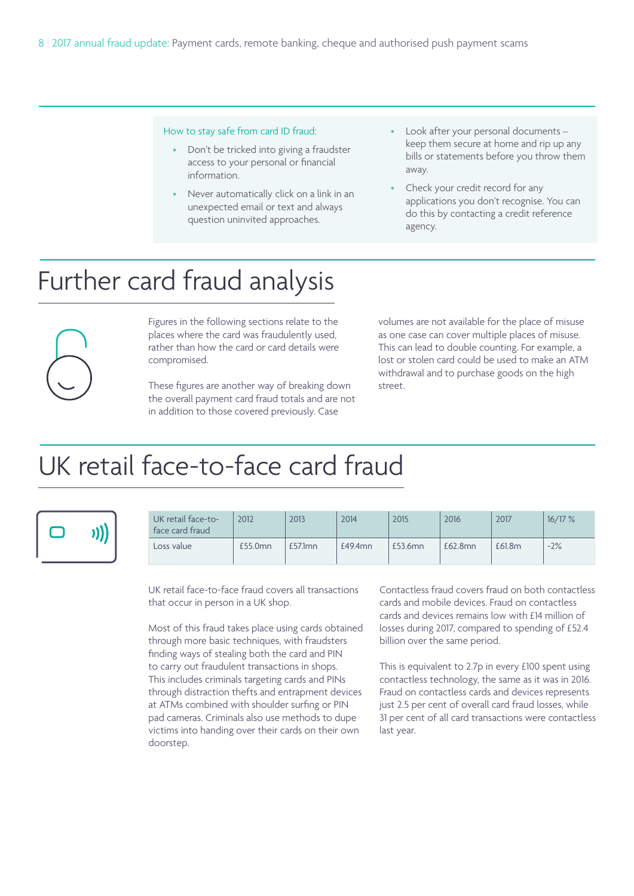#### How to stay safe from card ID fraud:

- Don't be tricked into giving a fraudster access to your personal or financial information.
- Never automatically click on a link in an unexpected email or text and always question uninvited approaches.
- Look after your personal documents keep them secure at home and rip up any bills or statements before you throw them away.
- Check your credit record for any applications you don't recognise. You can do this by contacting a credit reference agency.

# Further card fraud analysis

Figures in the following sections relate to the places where the card was fraudulently used, rather than how the card or card details were compromised.

> These figures are another way of breaking down the overall payment card fraud totals and are not in addition to those covered previously. Case

volumes are not available for the place of misuse as one case can cover multiple places of misuse. This can lead to double counting. For example, a lost or stolen card could be used to make an ATM withdrawal and to purchase goods on the high street.

# UK retail face-to-face card fraud



| UK retail face-to-<br>face card fraud | 2012    | 2013       | 2014    | 2015    | 2016    | 2017   | 16/17% |
|---------------------------------------|---------|------------|---------|---------|---------|--------|--------|
| Loss value                            | £55.0mn | $£57.1$ mn | £49.4mn | £53.6mn | £62.8mn | £61.8m | $-2%$  |

UK retail face-to-face fraud covers all transactions that occur in person in a UK shop.

Most of this fraud takes place using cards obtained through more basic techniques, with fraudsters finding ways of stealing both the card and PIN to carry out fraudulent transactions in shops. This includes criminals targeting cards and PINs through distraction thefts and entrapment devices at ATMs combined with shoulder surfing or PIN pad cameras. Criminals also use methods to dupe victims into handing over their cards on their own doorstep.

Contactless fraud covers fraud on both contactless cards and mobile devices. Fraud on contactless cards and devices remains low with £14 million of losses during 2017, compared to spending of £52.4 billion over the same period.

This is equivalent to 2.7p in every £100 spent using contactless technology, the same as it was in 2016. Fraud on contactless cards and devices represents just 2.5 per cent of overall card fraud losses, while 31 per cent of all card transactions were contactless last year.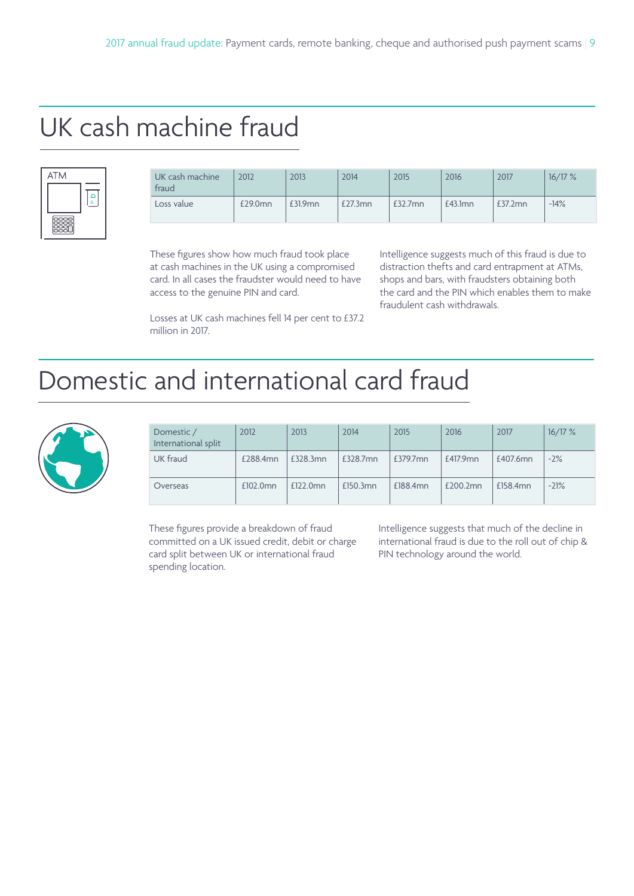# UK cash machine fraud



| UK cash machine<br>fraud | 2012    | 2013    | 2014    | 2015    | 2016       | 2017    | 16/17% |
|--------------------------|---------|---------|---------|---------|------------|---------|--------|
| Loss value               | £29.0mn | £31.9mn | £27.3mn | £32.7mn | $£43.1$ mn | £37.2mn | $-14%$ |

These figures show how much fraud took place at cash machines in the UK using a compromised card. In all cases the fraudster would need to have access to the genuine PIN and card.

Intelligence suggests much of this fraud is due to distraction thefts and card entrapment at ATMs, shops and bars, with fraudsters obtaining both the card and the PIN which enables them to make fraudulent cash withdrawals.

Losses at UK cash machines fell 14 per cent to £37.2 million in 2017.

### Domestic and international card fraud



| Domestic /<br>International split | 2012     | 2013     | 2014     | 2015        | 2016     | 2017     | 16/17% |
|-----------------------------------|----------|----------|----------|-------------|----------|----------|--------|
| UK fraud                          | £288.4mn | £328.3mn | £328.7mn | $£379.7$ mn | £417.9mn | £407.6mn | $-2\%$ |
| Overseas                          | £102.0mn | £122.0mn | £150.3mn | £188.4mn    | £200.2mn | £158.4mn | $-21%$ |

These figures provide a breakdown of fraud committed on a UK issued credit, debit or charge card split between UK or international fraud spending location.

Intelligence suggests that much of the decline in international fraud is due to the roll out of chip & PIN technology around the world.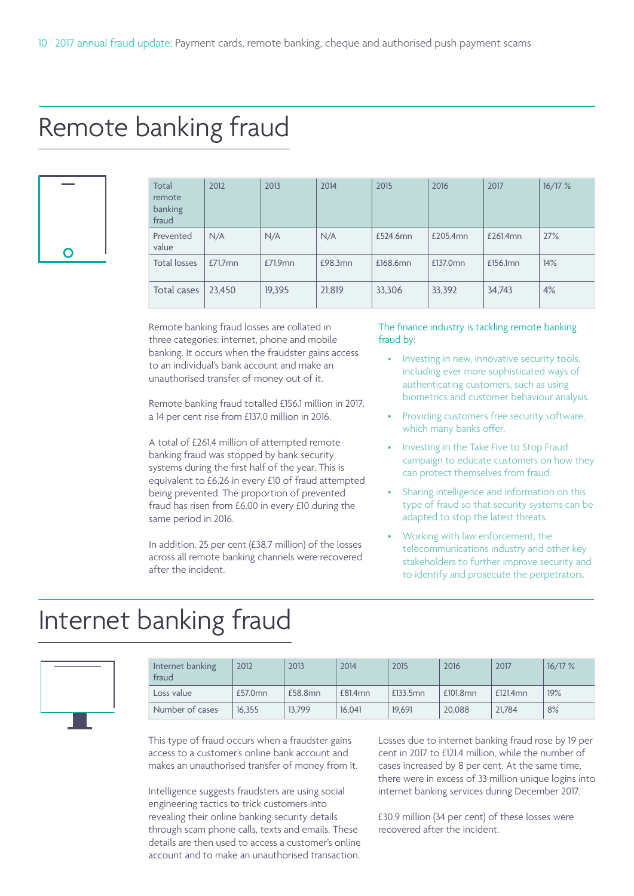### Remote banking fraud



| Total<br>remote<br>banking<br>fraud | 2012       | 2013    | 2014    | 2015     | 2016     | 2017     | 16/17% |
|-------------------------------------|------------|---------|---------|----------|----------|----------|--------|
| Prevented<br>value                  | N/A        | N/A     | N/A     | £524.6mn | £205.4mn | £261.4mn | 27%    |
| <b>Total losses</b>                 | $£71.7$ mn | £71.9mn | £98.3mn | £168.6mn | £137.0mn | £156.1mn | 14%    |
| Total cases                         | 23.450     | 19,395  | 21,819  | 33,306   | 33,392   | 34,743   | 4%     |

Remote banking fraud losses are collated in three categories: internet, phone and mobile banking. It occurs when the fraudster gains access to an individual's bank account and make an unauthorised transfer of money out of it.

Remote banking fraud totalled £156.1 million in 2017, a 14 per cent rise from £137.0 million in 2016.

A total of £261.4 million of attempted remote banking fraud was stopped by bank security systems during the first half of the year. This is equivalent to £6.26 in every £10 of fraud attempted being prevented. The proportion of prevented fraud has risen from £6.00 in every £10 during the same period in 2016.

In addition, 25 per cent (£38.7 million) of the losses across all remote banking channels were recovered after the incident.

### The finance industry is tackling remote banking fraud by:

- Investing in new, innovative security tools, including ever more sophisticated ways of authenticating customers, such as using biometrics and customer behaviour analysis.
- Providing customers free security software, which many banks offer.
- Investing in the Take Five to Stop Fraud campaign to educate customers on how they can protect themselves from fraud.
- Sharing intelligence and information on this type of fraud so that security systems can be adapted to stop the latest threats.
- Working with law enforcement, the telecommunications industry and other key stakeholders to further improve security and to identify and prosecute the perpetrators.

### Internet banking fraud

| Internet banking<br>fraud | 2012    | 2013    | 2014    | 2015     | 2016     | 2017     | 16/17% |
|---------------------------|---------|---------|---------|----------|----------|----------|--------|
| Loss value                | £57.0mn | £58.8mn | £81.4mn | £133.5mn | £101.8mn | £121.4mn | 19%    |
| Number of cases           | 16,355  | 13.799  | 16.041  | 19,691   | 20.088   | 21.784   | 8%     |

This type of fraud occurs when a fraudster gains access to a customer's online bank account and makes an unauthorised transfer of money from it.

Intelligence suggests fraudsters are using social engineering tactics to trick customers into revealing their online banking security details through scam phone calls, texts and emails. These details are then used to access a customer's online account and to make an unauthorised transaction.

Losses due to internet banking fraud rose by 19 per cent in 2017 to £121.4 million, while the number of cases increased by 8 per cent. At the same time, there were in excess of 33 million unique logins into internet banking services during December 2017.

£30.9 million (34 per cent) of these losses were recovered after the incident.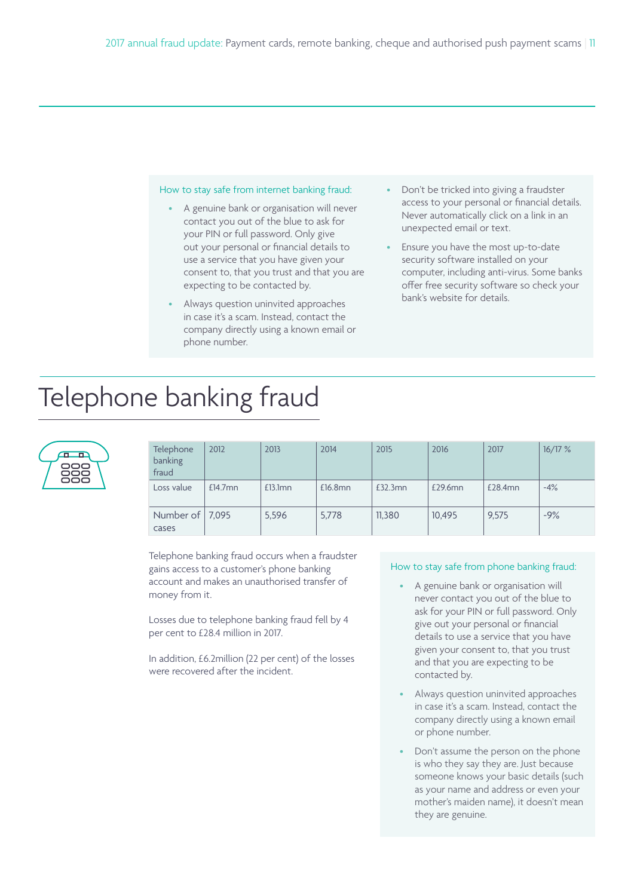#### How to stay safe from internet banking fraud:

- A genuine bank or organisation will never contact you out of the blue to ask for your PIN or full password. Only give out your personal or financial details to use a service that you have given your consent to, that you trust and that you are expecting to be contacted by.
- Always question uninvited approaches in case it's a scam. Instead, contact the company directly using a known email or phone number.
- Don't be tricked into giving a fraudster access to your personal or financial details. Never automatically click on a link in an unexpected email or text.
- Ensure you have the most up-to-date security software installed on your computer, including anti-virus. Some banks offer free security software so check your bank's website for details.

# Telephone banking fraud



| Telephone<br>banking<br>fraud | 2012       | 2013       | 2014    | 2015    | 2016    | 2017    | 16/17% |
|-------------------------------|------------|------------|---------|---------|---------|---------|--------|
| Loss value                    | $£14.7$ mn | $£13.1$ mn | £16.8mn | £32.3mn | £29.6mn | £28.4mn | $-4%$  |
| Number of $  7,095$<br>cases  |            | 5,596      | 5.778   | 11,380  | 10.495  | 9.575   | $-9%$  |

Telephone banking fraud occurs when a fraudster gains access to a customer's phone banking account and makes an unauthorised transfer of money from it.

Losses due to telephone banking fraud fell by 4 per cent to £28.4 million in 2017.

In addition, £6.2million (22 per cent) of the losses were recovered after the incident.

### How to stay safe from phone banking fraud:

- A genuine bank or organisation will never contact you out of the blue to ask for your PIN or full password. Only give out your personal or financial details to use a service that you have given your consent to, that you trust and that you are expecting to be contacted by.
- Always question uninvited approaches in case it's a scam. Instead, contact the company directly using a known email or phone number.
- Don't assume the person on the phone is who they say they are. Just because someone knows your basic details (such as your name and address or even your mother's maiden name), it doesn't mean they are genuine.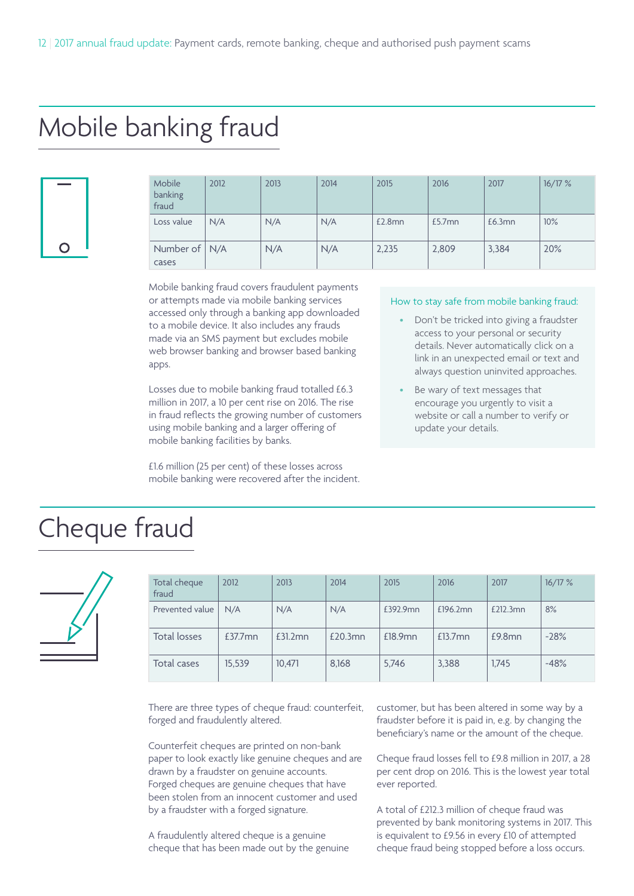# Mobile banking fraud

| ∩ |  |
|---|--|

| Mobile<br>banking<br>fraud | 2012 | 2013 | 2014 | 2015   | 2016      | 2017   | 16/17% |
|----------------------------|------|------|------|--------|-----------|--------|--------|
| Loss value                 | N/A  | N/A  | N/A  | £2.8mn | $£5.7$ mn | £6.3mn | 10%    |
| Number of $N/A$<br>cases   |      | N/A  | N/A  | 2,235  | 2,809     | 3,384  | 20%    |

Mobile banking fraud covers fraudulent payments or attempts made via mobile banking services accessed only through a banking app downloaded to a mobile device. It also includes any frauds made via an SMS payment but excludes mobile web browser banking and browser based banking apps.

Losses due to mobile banking fraud totalled £6.3 million in 2017, a 10 per cent rise on 2016. The rise in fraud reflects the growing number of customers using mobile banking and a larger offering of mobile banking facilities by banks.

£1.6 million (25 per cent) of these losses across mobile banking were recovered after the incident.

#### How to stay safe from mobile banking fraud:

- Don't be tricked into giving a fraudster access to your personal or security details. Never automatically click on a link in an unexpected email or text and always question uninvited approaches.
- Be wary of text messages that encourage you urgently to visit a website or call a number to verify or update your details.

### Cheque fraud



| Total cheque<br>fraud | 2012       | 2013    | 2014    | 2015     | 2016       | 2017      | 16/17% |
|-----------------------|------------|---------|---------|----------|------------|-----------|--------|
| Prevented value       | N/A        | N/A     | N/A     | £392.9mn | £196.2mn   | £212.3mn  | 8%     |
| Total losses          | $£37.7$ mn | £31.2mn | £20.3mn | £18.9mn  | $£13.7$ mn | $£9.8$ mn | $-28%$ |
| Total cases           | 15,539     | 10,471  | 8,168   | 5,746    | 3,388      | 1,745     | $-48%$ |

There are three types of cheque fraud: counterfeit, forged and fraudulently altered.

Counterfeit cheques are printed on non-bank paper to look exactly like genuine cheques and are drawn by a fraudster on genuine accounts. Forged cheques are genuine cheques that have been stolen from an innocent customer and used by a fraudster with a forged signature.

A fraudulently altered cheque is a genuine cheque that has been made out by the genuine customer, but has been altered in some way by a fraudster before it is paid in, e.g. by changing the beneficiary's name or the amount of the cheque.

Cheque fraud losses fell to £9.8 million in 2017, a 28 per cent drop on 2016. This is the lowest year total ever reported.

A total of £212.3 million of cheque fraud was prevented by bank monitoring systems in 2017. This is equivalent to £9.56 in every £10 of attempted cheque fraud being stopped before a loss occurs.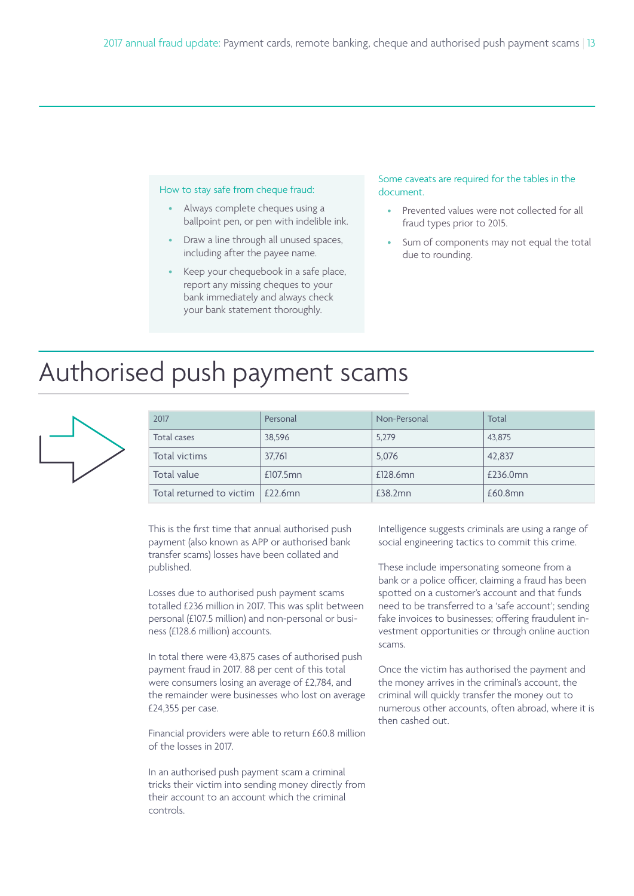#### How to stay safe from cheque fraud:

- Always complete cheques using a ballpoint pen, or pen with indelible ink.
- Draw a line through all unused spaces, including after the payee name.
- Keep your chequebook in a safe place, report any missing cheques to your bank immediately and always check your bank statement thoroughly.

### Some caveats are required for the tables in the document.

- Prevented values were not collected for all fraud types prior to 2015.
- Sum of components may not equal the total due to rounding.

# Authorised push payment scams



| 2017                               | Personal | Non-Personal | Total    |
|------------------------------------|----------|--------------|----------|
| Total cases                        | 38.596   | 5,279        | 43.875   |
| Total victims                      | 37.761   | 5,076        | 42.837   |
| Total value                        | £107.5mn | £128.6mn     | £236.0mn |
| Total returned to victim   £22.6mn |          | £38.2mn      | £60.8mn  |

This is the first time that annual authorised push payment (also known as APP or authorised bank transfer scams) losses have been collated and published.

Losses due to authorised push payment scams totalled £236 million in 2017. This was split between personal (£107.5 million) and non-personal or business (£128.6 million) accounts.

In total there were 43,875 cases of authorised push payment fraud in 2017. 88 per cent of this total were consumers losing an average of £2,784, and the remainder were businesses who lost on average £24,355 per case.

Financial providers were able to return £60.8 million of the losses in 2017.

In an authorised push payment scam a criminal tricks their victim into sending money directly from their account to an account which the criminal controls.

Intelligence suggests criminals are using a range of social engineering tactics to commit this crime.

These include impersonating someone from a bank or a police officer, claiming a fraud has been spotted on a customer's account and that funds need to be transferred to a 'safe account'; sending fake invoices to businesses; offering fraudulent investment opportunities or through online auction scams.

Once the victim has authorised the payment and the money arrives in the criminal's account, the criminal will quickly transfer the money out to numerous other accounts, often abroad, where it is then cashed out.